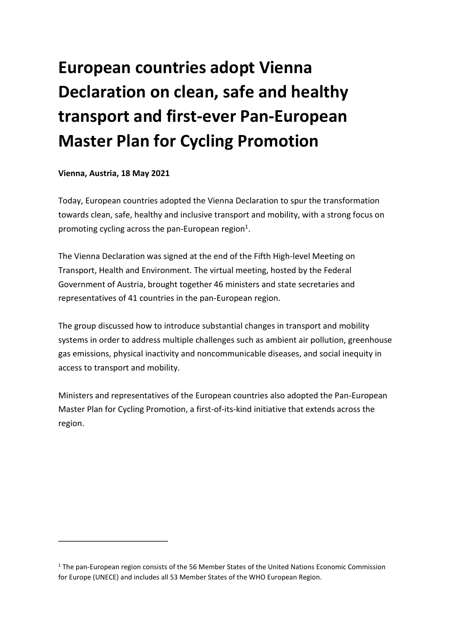# **European countries adopt Vienna Declaration on clean, safe and healthy transport and first-ever Pan-European Master Plan for Cycling Promotion**

#### **Vienna, Austria, 18 May 2021**

Today, European countries adopted the Vienna Declaration to spur the transformation towards clean, safe, healthy and inclusive transport and mobility, with a strong focus on promoting cycling across the pan-European region<sup>[1](#page-0-0)</sup>.

<span id="page-0-1"></span>The Vienna Declaration was signed at the end of the Fifth High-level Meeting on Transport, Health and Environment. The virtual meeting, hosted by the Federal Government of Austria, brought together 46 ministers and state secretaries and representatives of 41 countries in the pan-European region.

The group discussed how to introduce substantial changes in transport and mobility systems in order to address multiple challenges such as ambient air pollution, greenhouse gas emissions, physical inactivity and noncommunicable diseases, and social inequity in access to transport and mobility.

Ministers and representatives of the European countries also adopted the Pan-European Master Plan for Cycling Promotion, a first-of-its-kind initiative that extends across the region.

<span id="page-0-0"></span><sup>&</sup>lt;sup>[1](#page-0-1)</sup> The pan-European region consists of the 56 Member States of the United Nations Economic Commission for Europe (UNECE) and includes all 53 Member States of the WHO European Region.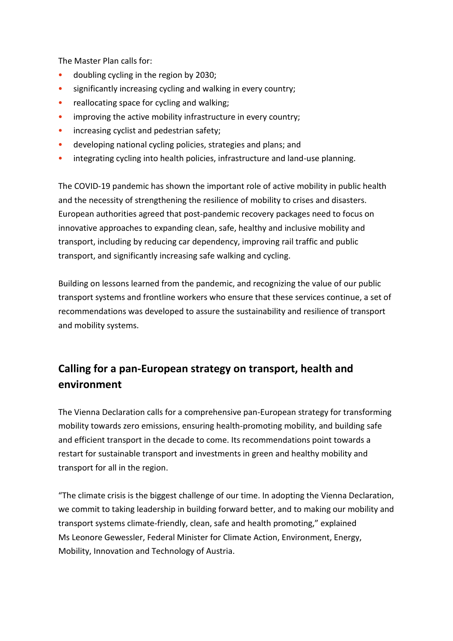The Master Plan calls for:

- doubling cycling in the region by 2030;
- significantly increasing cycling and walking in every country;
- reallocating space for cycling and walking;
- improving the active mobility infrastructure in every country;
- increasing cyclist and pedestrian safety;
- developing national cycling policies, strategies and plans; and
- integrating cycling into health policies, infrastructure and land-use planning.

The COVID-19 pandemic has shown the important role of active mobility in public health and the necessity of strengthening the resilience of mobility to crises and disasters. European authorities agreed that post-pandemic recovery packages need to focus on innovative approaches to expanding clean, safe, healthy and inclusive mobility and transport, including by reducing car dependency, improving rail traffic and public transport, and significantly increasing safe walking and cycling.

Building on lessons learned from the pandemic, and recognizing the value of our public transport systems and frontline workers who ensure that these services continue, a set of recommendations was developed to assure the sustainability and resilience of transport and mobility systems.

# **Calling for a pan-European strategy on transport, health and environment**

The Vienna Declaration calls for a comprehensive pan-European strategy for transforming mobility towards zero emissions, ensuring health-promoting mobility, and building safe and efficient transport in the decade to come. Its recommendations point towards a restart for sustainable transport and investments in green and healthy mobility and transport for all in the region.

"The climate crisis is the biggest challenge of our time. In adopting the Vienna Declaration, we commit to taking leadership in building forward better, and to making our mobility and transport systems climate-friendly, clean, safe and health promoting," explained Ms Leonore Gewessler, Federal Minister for Climate Action, Environment, Energy, Mobility, Innovation and Technology of Austria.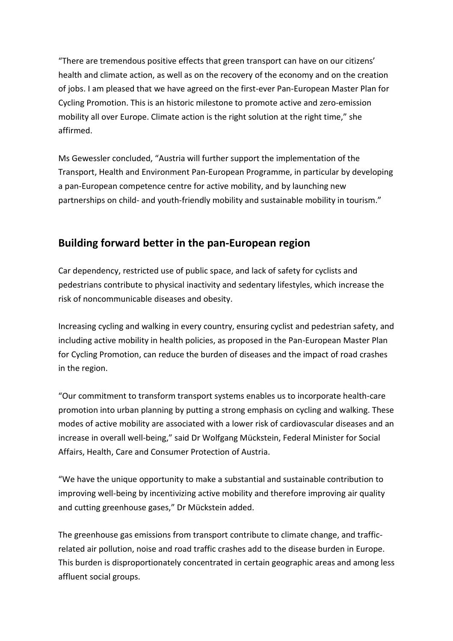"There are tremendous positive effects that green transport can have on our citizens' health and climate action, as well as on the recovery of the economy and on the creation of jobs. I am pleased that we have agreed on the first-ever Pan-European Master Plan for Cycling Promotion. This is an historic milestone to promote active and zero-emission mobility all over Europe. Climate action is the right solution at the right time," she affirmed.

Ms Gewessler concluded, "Austria will further support the implementation of the Transport, Health and Environment Pan-European Programme, in particular by developing a pan-European competence centre for active mobility, and by launching new partnerships on child- and youth-friendly mobility and sustainable mobility in tourism."

### **Building forward better in the pan-European region**

Car dependency, restricted use of public space, and lack of safety for cyclists and pedestrians contribute to physical inactivity and sedentary lifestyles, which increase the risk of noncommunicable diseases and obesity.

Increasing cycling and walking in every country, ensuring cyclist and pedestrian safety, and including active mobility in health policies, as proposed in the Pan-European Master Plan for Cycling Promotion, can reduce the burden of diseases and the impact of road crashes in the region.

"Our commitment to transform transport systems enables us to incorporate health-care promotion into urban planning by putting a strong emphasis on cycling and walking. These modes of active mobility are associated with a lower risk of cardiovascular diseases and an increase in overall well-being," said Dr Wolfgang Mückstein, Federal Minister for Social Affairs, Health, Care and Consumer Protection of Austria.

"We have the unique opportunity to make a substantial and sustainable contribution to improving well-being by incentivizing active mobility and therefore improving air quality and cutting greenhouse gases," Dr Mückstein added.

The greenhouse gas emissions from transport contribute to climate change, and trafficrelated air pollution, noise and road traffic crashes add to the disease burden in Europe. This burden is disproportionately concentrated in certain geographic areas and among less affluent social groups.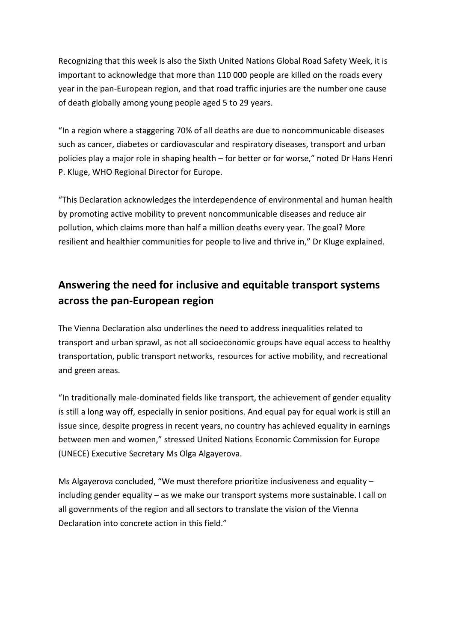Recognizing that this week is also the Sixth United Nations Global Road Safety Week, it is important to acknowledge that more than 110 000 people are killed on the roads every year in the pan-European region, and that road traffic injuries are the number one cause of death globally among young people aged 5 to 29 years.

"In a region where a staggering 70% of all deaths are due to noncommunicable diseases such as cancer, diabetes or cardiovascular and respiratory diseases, transport and urban policies play a major role in shaping health – for better or for worse," noted Dr Hans Henri P. Kluge, WHO Regional Director for Europe.

"This Declaration acknowledges the interdependence of environmental and human health by promoting active mobility to prevent noncommunicable diseases and reduce air pollution, which claims more than half a million deaths every year. The goal? More resilient and healthier communities for people to live and thrive in," Dr Kluge explained.

## **Answering the need for inclusive and equitable transport systems across the pan-European region**

The Vienna Declaration also underlines the need to address inequalities related to transport and urban sprawl, as not all socioeconomic groups have equal access to healthy transportation, public transport networks, resources for active mobility, and recreational and green areas.

"In traditionally male-dominated fields like transport, the achievement of gender equality is still a long way off, especially in senior positions. And equal pay for equal work is still an issue since, despite progress in recent years, no country has achieved equality in earnings between men and women," stressed United Nations Economic Commission for Europe (UNECE) Executive Secretary Ms Olga Algayerova.

Ms Algayerova concluded, "We must therefore prioritize inclusiveness and equality  $$ including gender equality – as we make our transport systems more sustainable. I call on all governments of the region and all sectors to translate the vision of the Vienna Declaration into concrete action in this field."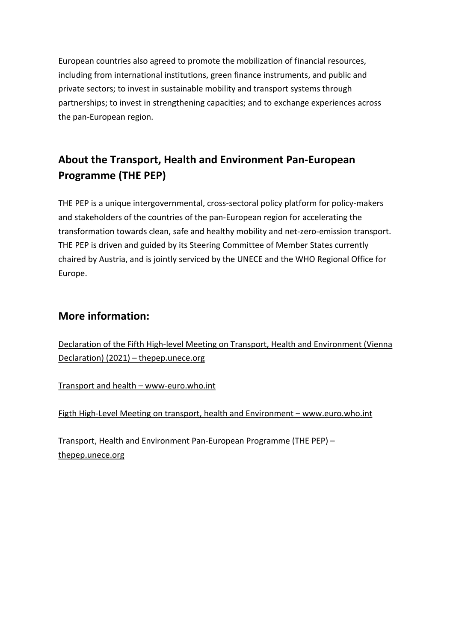European countries also agreed to promote the mobilization of financial resources, including from international institutions, green finance instruments, and public and private sectors; to invest in sustainable mobility and transport systems through partnerships; to invest in strengthening capacities; and to exchange experiences across the pan-European region.

# **About the Transport, Health and Environment Pan-European Programme (THE PEP)**

THE PEP is a unique intergovernmental, cross-sectoral policy platform for policy-makers and stakeholders of the countries of the pan-European region for accelerating the transformation towards clean, safe and healthy mobility and net-zero-emission transport. THE PEP is driven and guided by its Steering Committee of Member States currently chaired by Austria, and is jointly serviced by the UNECE and the WHO Regional Office for Europe.

### **More information:**

[Declaration of the Fifth High-level Meeting on Transport, Health and Environment \(Vienna](https://thepep.unece.org/sites/default/files/2021-05/HLM5%2520Declaration%2520advance%2520copy.pdf)  [Declaration\) \(2021\) – thepep.unece.org](https://thepep.unece.org/sites/default/files/2021-05/HLM5%2520Declaration%2520advance%2520copy.pdf)

[Transport and health – www-euro.who.int](https://www.euro.who.int/en/health-topics/environment-and-health/Transport-and-health)

[Figth High-Level Meeting on transport, health and Environment – www.euro.who.int](https://www.euro.who.int/en/media-centre/events/events/2021/05/fifth-high-level-meeting-on-transport,-health-and-environment)

Transport, Health and Environment Pan-European Programme (THE PEP) – [thepep.unece.org](https://thepep.unece.org/)